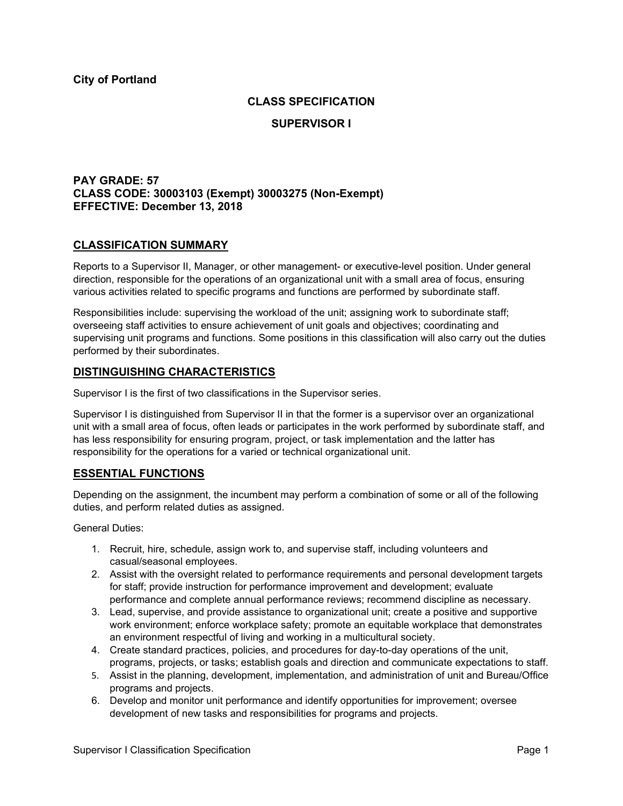### **CLASS SPECIFICATION**

### **SUPERVISOR I**

## **PAY GRADE: 57 CLASS CODE: 30003103 (Exempt) 30003275 (Non-Exempt) EFFECTIVE: December 13, 2018**

## **CLASSIFICATION SUMMARY**

Reports to a Supervisor II, Manager, or other management- or executive-level position. Under general direction, responsible for the operations of an organizational unit with a small area of focus, ensuring various activities related to specific programs and functions are performed by subordinate staff.

Responsibilities include: supervising the workload of the unit; assigning work to subordinate staff; overseeing staff activities to ensure achievement of unit goals and objectives; coordinating and supervising unit programs and functions. Some positions in this classification will also carry out the duties performed by their subordinates.

## **DISTINGUISHING CHARACTERISTICS**

Supervisor I is the first of two classifications in the Supervisor series.

Supervisor I is distinguished from Supervisor II in that the former is a supervisor over an organizational unit with a small area of focus, often leads or participates in the work performed by subordinate staff, and has less responsibility for ensuring program, project, or task implementation and the latter has responsibility for the operations for a varied or technical organizational unit.

# **ESSENTIAL FUNCTIONS**

Depending on the assignment, the incumbent may perform a combination of some or all of the following duties, and perform related duties as assigned.

General Duties:

- 1. Recruit, hire, schedule, assign work to, and supervise staff, including volunteers and casual/seasonal employees.
- 2. Assist with the oversight related to performance requirements and personal development targets for staff; provide instruction for performance improvement and development; evaluate performance and complete annual performance reviews; recommend discipline as necessary.
- 3. Lead, supervise, and provide assistance to organizational unit; create a positive and supportive work environment; enforce workplace safety; promote an equitable workplace that demonstrates an environment respectful of living and working in a multicultural society.
- 4. Create standard practices, policies, and procedures for day-to-day operations of the unit, programs, projects, or tasks; establish goals and direction and communicate expectations to staff.
- 5. Assist in the planning, development, implementation, and administration of unit and Bureau/Office programs and projects.
- 6. Develop and monitor unit performance and identify opportunities for improvement; oversee development of new tasks and responsibilities for programs and projects.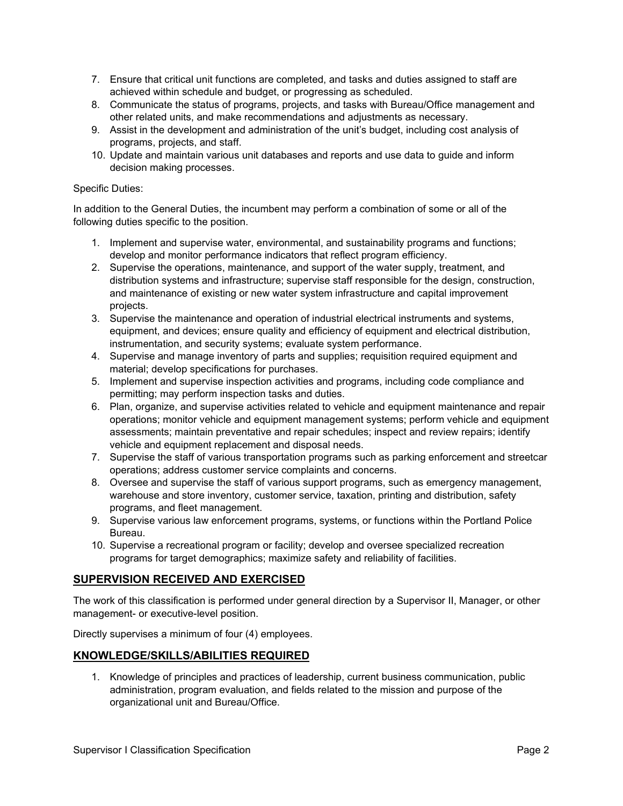- 7. Ensure that critical unit functions are completed, and tasks and duties assigned to staff are achieved within schedule and budget, or progressing as scheduled.
- 8. Communicate the status of programs, projects, and tasks with Bureau/Office management and other related units, and make recommendations and adjustments as necessary.
- 9. Assist in the development and administration of the unit's budget, including cost analysis of programs, projects, and staff.
- 10. Update and maintain various unit databases and reports and use data to guide and inform decision making processes.

#### Specific Duties:

In addition to the General Duties, the incumbent may perform a combination of some or all of the following duties specific to the position.

- 1. Implement and supervise water, environmental, and sustainability programs and functions; develop and monitor performance indicators that reflect program efficiency.
- 2. Supervise the operations, maintenance, and support of the water supply, treatment, and distribution systems and infrastructure; supervise staff responsible for the design, construction, and maintenance of existing or new water system infrastructure and capital improvement projects.
- 3. Supervise the maintenance and operation of industrial electrical instruments and systems, equipment, and devices; ensure quality and efficiency of equipment and electrical distribution, instrumentation, and security systems; evaluate system performance.
- 4. Supervise and manage inventory of parts and supplies; requisition required equipment and material; develop specifications for purchases.
- 5. Implement and supervise inspection activities and programs, including code compliance and permitting; may perform inspection tasks and duties.
- 6. Plan, organize, and supervise activities related to vehicle and equipment maintenance and repair operations; monitor vehicle and equipment management systems; perform vehicle and equipment assessments; maintain preventative and repair schedules; inspect and review repairs; identify vehicle and equipment replacement and disposal needs.
- 7. Supervise the staff of various transportation programs such as parking enforcement and streetcar operations; address customer service complaints and concerns.
- 8. Oversee and supervise the staff of various support programs, such as emergency management, warehouse and store inventory, customer service, taxation, printing and distribution, safety programs, and fleet management.
- 9. Supervise various law enforcement programs, systems, or functions within the Portland Police Bureau.
- 10. Supervise a recreational program or facility; develop and oversee specialized recreation programs for target demographics; maximize safety and reliability of facilities.

# **SUPERVISION RECEIVED AND EXERCISED**

The work of this classification is performed under general direction by a Supervisor II, Manager, or other management- or executive-level position.

Directly supervises a minimum of four (4) employees.

### **KNOWLEDGE/SKILLS/ABILITIES REQUIRED**

1. Knowledge of principles and practices of leadership, current business communication, public administration, program evaluation, and fields related to the mission and purpose of the organizational unit and Bureau/Office.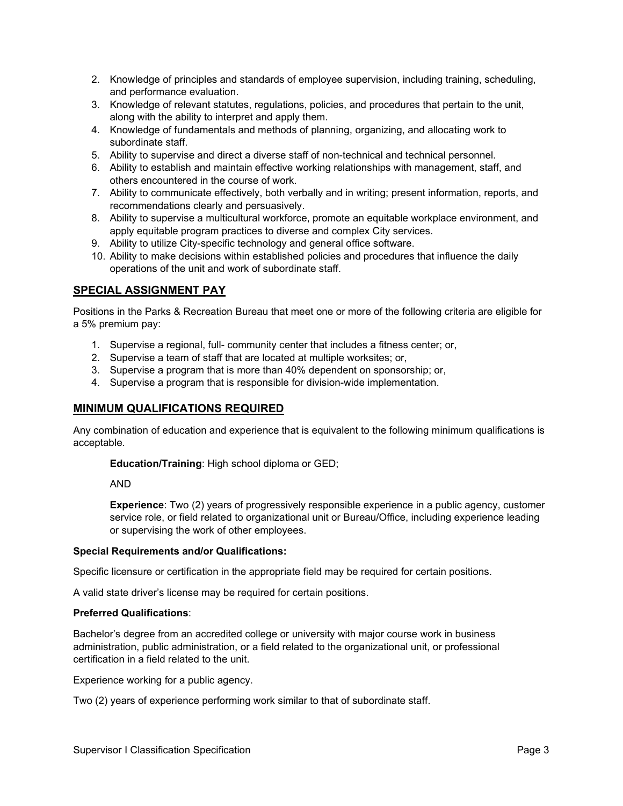- 2. Knowledge of principles and standards of employee supervision, including training, scheduling, and performance evaluation.
- 3. Knowledge of relevant statutes, regulations, policies, and procedures that pertain to the unit, along with the ability to interpret and apply them.
- 4. Knowledge of fundamentals and methods of planning, organizing, and allocating work to subordinate staff.
- 5. Ability to supervise and direct a diverse staff of non-technical and technical personnel.
- 6. Ability to establish and maintain effective working relationships with management, staff, and others encountered in the course of work.
- 7. Ability to communicate effectively, both verbally and in writing; present information, reports, and recommendations clearly and persuasively.
- 8. Ability to supervise a multicultural workforce, promote an equitable workplace environment, and apply equitable program practices to diverse and complex City services.
- 9. Ability to utilize City-specific technology and general office software.
- 10. Ability to make decisions within established policies and procedures that influence the daily operations of the unit and work of subordinate staff.

# **SPECIAL ASSIGNMENT PAY**

Positions in the Parks & Recreation Bureau that meet one or more of the following criteria are eligible for a 5% premium pay:

- 1. Supervise a regional, full- community center that includes a fitness center; or,
- 2. Supervise a team of staff that are located at multiple worksites; or,
- 3. Supervise a program that is more than 40% dependent on sponsorship; or,
- 4. Supervise a program that is responsible for division-wide implementation.

### **MINIMUM QUALIFICATIONS REQUIRED**

Any combination of education and experience that is equivalent to the following minimum qualifications is acceptable.

**Education/Training**: High school diploma or GED;

AND

**Experience**: Two (2) years of progressively responsible experience in a public agency, customer service role, or field related to organizational unit or Bureau/Office, including experience leading or supervising the work of other employees.

#### **Special Requirements and/or Qualifications:**

Specific licensure or certification in the appropriate field may be required for certain positions.

A valid state driver's license may be required for certain positions.

#### **Preferred Qualifications**:

Bachelor's degree from an accredited college or university with major course work in business administration, public administration, or a field related to the organizational unit, or professional certification in a field related to the unit.

Experience working for a public agency.

Two (2) years of experience performing work similar to that of subordinate staff.